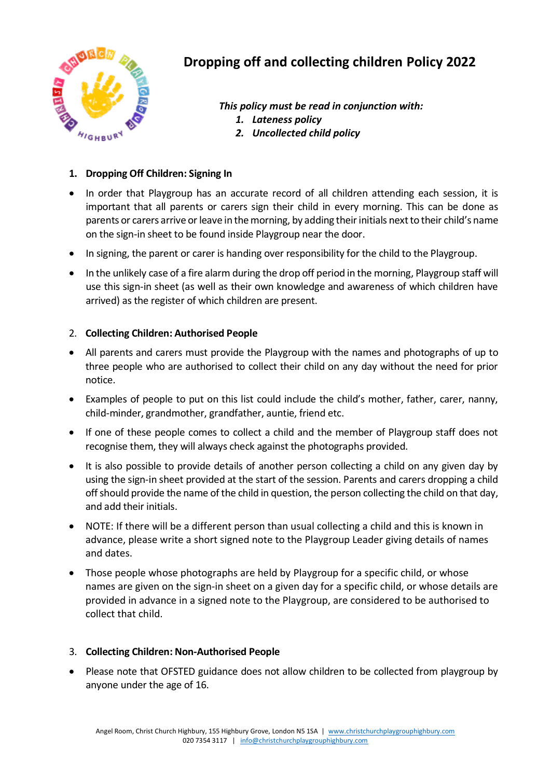

## **Dropping off and collecting children Policy 2022**

*This policy must be read in conjunction with:*

- *1. Lateness policy*
- *2. Uncollected child policy*

## **1. Dropping Off Children: Signing In**

- In order that Playgroup has an accurate record of all children attending each session, it is important that all parents or carers sign their child in every morning. This can be done as parents or carers arrive or leave in the morning, by adding their initials next to their child's name on the sign-in sheet to be found inside Playgroup near the door.
- In signing, the parent or carer is handing over responsibility for the child to the Playgroup.
- In the unlikely case of a fire alarm during the drop off period in the morning, Playgroup staff will use this sign-in sheet (as well as their own knowledge and awareness of which children have arrived) as the register of which children are present.

## 2. **Collecting Children: Authorised People**

- All parents and carers must provide the Playgroup with the names and photographs of up to three people who are authorised to collect their child on any day without the need for prior notice.
- Examples of people to put on this list could include the child's mother, father, carer, nanny, child-minder, grandmother, grandfather, auntie, friend etc.
- If one of these people comes to collect a child and the member of Playgroup staff does not recognise them, they will always check against the photographs provided.
- It is also possible to provide details of another person collecting a child on any given day by using the sign-in sheet provided at the start of the session. Parents and carers dropping a child off should provide the name of the child in question, the person collecting the child on that day, and add their initials.
- NOTE: If there will be a different person than usual collecting a child and this is known in advance, please write a short signed note to the Playgroup Leader giving details of names and dates.
- Those people whose photographs are held by Playgroup for a specific child, or whose names are given on the sign-in sheet on a given day for a specific child, or whose details are provided in advance in a signed note to the Playgroup, are considered to be authorised to collect that child.

## 3. **Collecting Children: Non-Authorised People**

• Please note that OFSTED guidance does not allow children to be collected from playgroup by anyone under the age of 16.